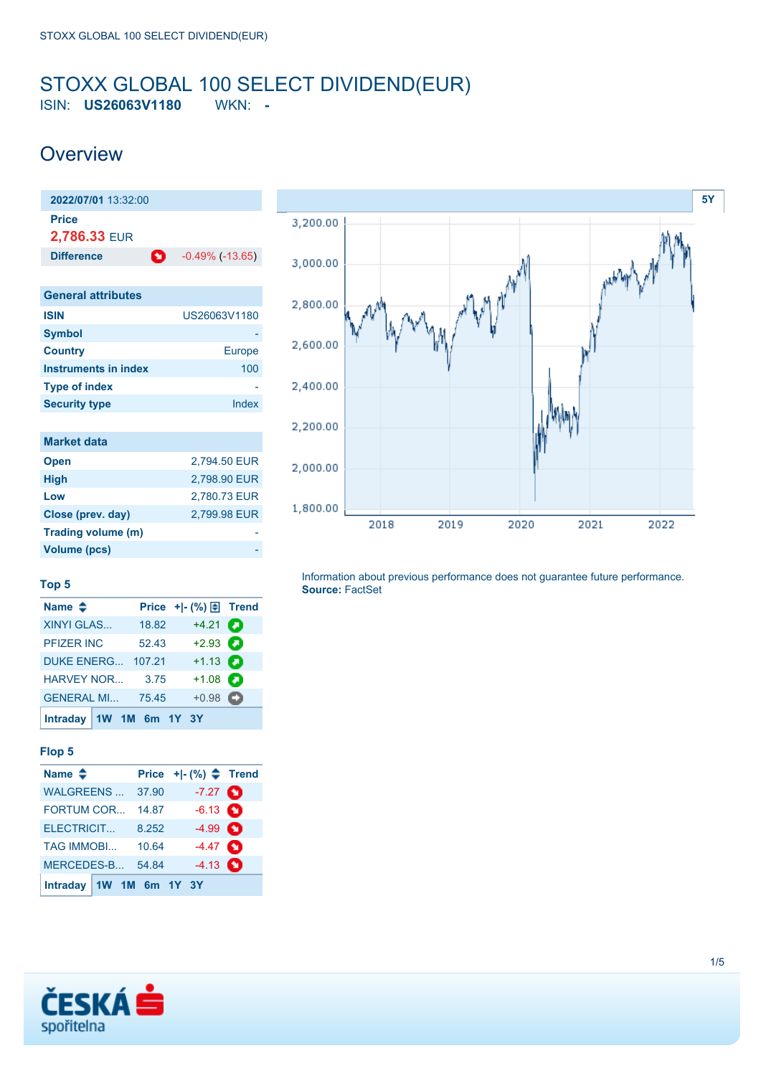## <span id="page-0-0"></span>STOXX GLOBAL 100 SELECT DIVIDEND(EUR) ISIN: **US26063V1180** WKN: **-**

## **Overview**



| <b>Europe</b> |
|---------------|
| 100           |
|               |
| Index         |
|               |
|               |
| 2,794.50 EUR  |
| 2,798.90 EUR  |
| 2,780.73 EUR  |
| 2,799.98 EUR  |
|               |
|               |



#### **Top 5**

**Volume (pcs)** 

| Name $\triangle$          |        | Price $+$ $-$ (%) $\boxed{+}$ Trend |  |
|---------------------------|--------|-------------------------------------|--|
| <b>XINYI GLAS</b>         | 18.82  | $+4.21$ $\Box$                      |  |
| <b>PFIZER INC</b>         | 52.43  | $+2.93$                             |  |
| DUKE ENERG                | 107.21 | $+1.13$ $\bullet$                   |  |
| <b>HARVEY NOR</b>         | 3.75   | $+1.08$ $\Box$                      |  |
| <b>GENERAL MI 75.45</b>   |        | $+0.98$ $\bullet$                   |  |
| Intraday $1W$ 1M 6m 1Y 3Y |        |                                     |  |

#### **Flop 5**

| Name $\triangleq$                        |  |       | Price $+$ $ (%)$ $\triangle$ Trend |  |
|------------------------------------------|--|-------|------------------------------------|--|
| <b>WALGREENS</b>                         |  | 37.90 | $-7.27$ $\bullet$                  |  |
| <b>FORTUM COR</b>                        |  | 14.87 | $-6.13$ $\bullet$                  |  |
| ELECTRICIT                               |  | 8.252 | $-4.99$ $\bullet$                  |  |
| <b>TAG IMMOBI</b>                        |  | 10.64 | $-4.47$ $\bullet$                  |  |
| $-4.13$ $\bullet$<br>MERCEDES-B<br>54.84 |  |       |                                    |  |
| Intraday 1W 1M 6m 1Y 3Y                  |  |       |                                    |  |

Information about previous performance does not guarantee future performance. **Source:** FactSet

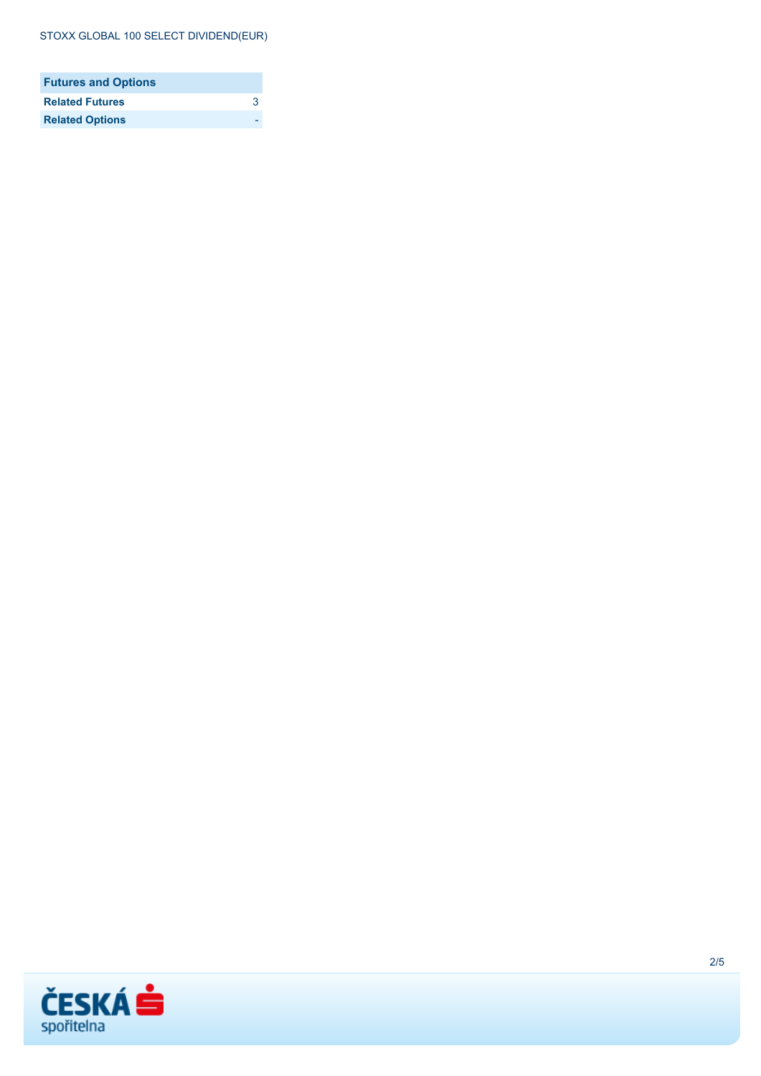#### STOXX GLOBAL 100 SELECT DIVIDEND(EUR)

| <b>Futures and Options</b> |   |
|----------------------------|---|
| <b>Related Futures</b>     | ર |
| <b>Related Options</b>     |   |

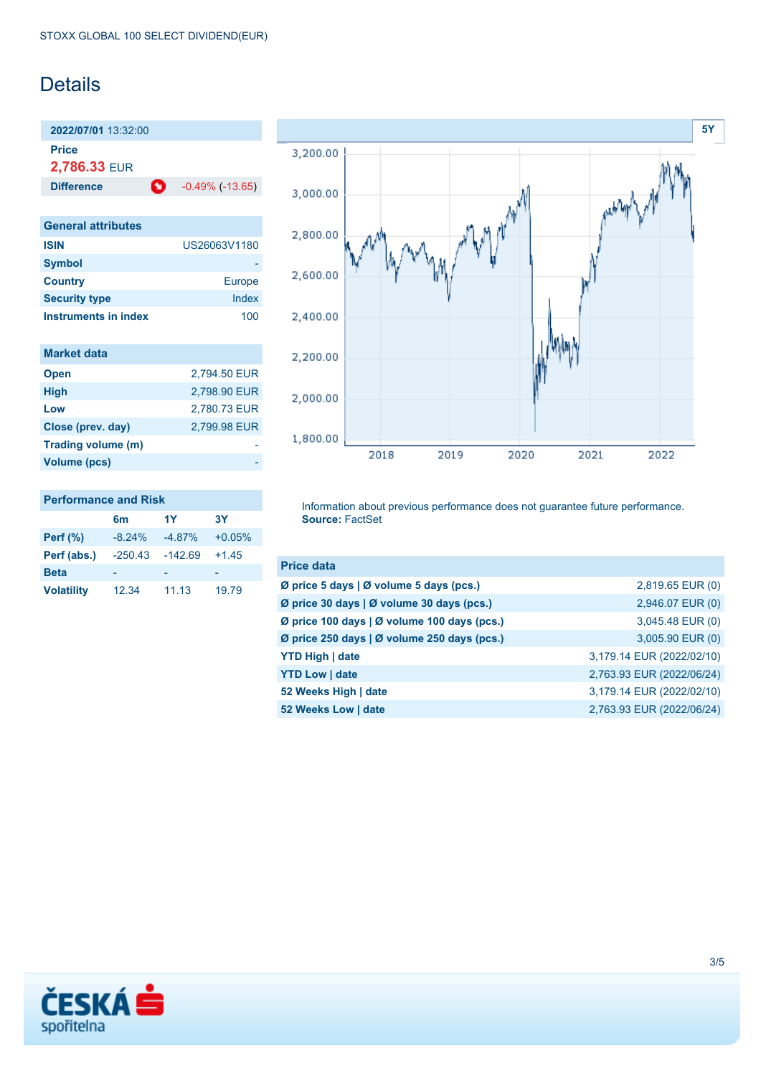## **Details**

**2022/07/01** 13:32:00 **Price**

**2,786.33** EUR

**Difference 1** -0.49% (-13.65)

| <b>General attributes</b> |               |
|---------------------------|---------------|
| <b>ISIN</b>               | US26063V1180  |
| <b>Symbol</b>             |               |
| <b>Country</b>            | <b>Europe</b> |
| <b>Security type</b>      | Index         |
| Instruments in index      | 100           |

| <b>Market data</b> |              |
|--------------------|--------------|
| <b>Open</b>        | 2,794.50 EUR |
| <b>High</b>        | 2.798.90 EUR |
| Low                | 2,780.73 EUR |
| Close (prev. day)  | 2.799.98 EUR |
| Trading volume (m) |              |
| Volume (pcs)       |              |



### **Performance and Risk**

|                   | 6 <sub>m</sub> | 1Y        | 3Υ       |
|-------------------|----------------|-----------|----------|
| <b>Perf</b> (%)   | $-8.24%$       | $-4.87%$  | $+0.05%$ |
| Perf (abs.)       | $-250.43$      | $-142.69$ | $+1.45$  |
| <b>Beta</b>       |                |           |          |
| <b>Volatility</b> | 12.34          | 11.13     | 19.79    |

Information about previous performance does not guarantee future performance. **Source:** FactSet

| <b>Price data</b>                           |                           |
|---------------------------------------------|---------------------------|
| Ø price 5 days   Ø volume 5 days (pcs.)     | 2,819.65 EUR (0)          |
| Ø price 30 days   Ø volume 30 days (pcs.)   | 2,946.07 EUR (0)          |
| Ø price 100 days   Ø volume 100 days (pcs.) | 3,045.48 EUR (0)          |
| Ø price 250 days   Ø volume 250 days (pcs.) | 3,005.90 EUR (0)          |
| <b>YTD High   date</b>                      | 3,179.14 EUR (2022/02/10) |
| <b>YTD Low   date</b>                       | 2,763.93 EUR (2022/06/24) |
| 52 Weeks High   date                        | 3,179.14 EUR (2022/02/10) |
| 52 Weeks Low   date                         | 2,763.93 EUR (2022/06/24) |

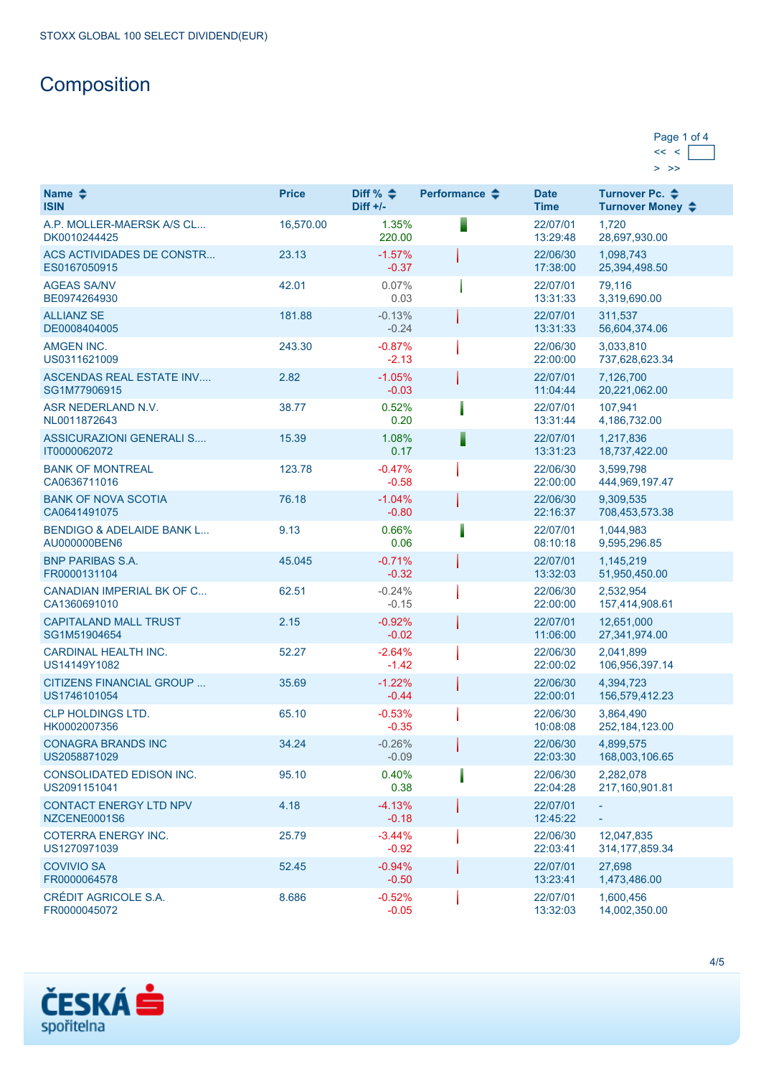# **Composition**

| Page 1 of 4 |  |
|-------------|--|
|             |  |
|             |  |

| Name $\triangle$<br><b>ISIN</b>                      | <b>Price</b> | Diff % $\triangleq$<br>$Diff +/-$ | Performance $\triangle$ | <b>Date</b><br><b>Time</b> | Turnover Pc. ♦<br>Turnover Money ♦ |
|------------------------------------------------------|--------------|-----------------------------------|-------------------------|----------------------------|------------------------------------|
| A.P. MOLLER-MAERSK A/S CL<br>DK0010244425            | 16,570.00    | 1.35%<br>220.00                   |                         | 22/07/01<br>13:29:48       | 1.720<br>28,697,930.00             |
| <b>ACS ACTIVIDADES DE CONSTR</b><br>ES0167050915     | 23.13        | $-1.57%$<br>$-0.37$               |                         | 22/06/30<br>17:38:00       | 1,098,743<br>25,394,498.50         |
| <b>AGEAS SA/NV</b><br>BE0974264930                   | 42.01        | 0.07%<br>0.03                     |                         | 22/07/01<br>13:31:33       | 79,116<br>3,319,690.00             |
| <b>ALLIANZ SE</b><br>DE0008404005                    | 181.88       | $-0.13%$<br>$-0.24$               |                         | 22/07/01<br>13:31:33       | 311,537<br>56,604,374.06           |
| AMGEN INC.<br>US0311621009                           | 243.30       | $-0.87%$<br>$-2.13$               |                         | 22/06/30<br>22:00:00       | 3,033,810<br>737,628,623.34        |
| <b>ASCENDAS REAL ESTATE INV</b><br>SG1M77906915      | 2.82         | $-1.05%$<br>$-0.03$               |                         | 22/07/01<br>11:04:44       | 7,126,700<br>20,221,062.00         |
| ASR NEDERLAND N.V.<br>NL0011872643                   | 38.77        | 0.52%<br>0.20                     |                         | 22/07/01<br>13:31:44       | 107,941<br>4,186,732.00            |
| ASSICURAZIONI GENERALI S<br>IT0000062072             | 15.39        | 1.08%<br>0.17                     |                         | 22/07/01<br>13:31:23       | 1,217,836<br>18,737,422.00         |
| <b>BANK OF MONTREAL</b><br>CA0636711016              | 123.78       | $-0.47%$<br>$-0.58$               |                         | 22/06/30<br>22:00:00       | 3,599,798<br>444,969,197.47        |
| <b>BANK OF NOVA SCOTIA</b><br>CA0641491075           | 76.18        | $-1.04%$<br>$-0.80$               |                         | 22/06/30<br>22:16:37       | 9,309,535<br>708,453,573.38        |
| <b>BENDIGO &amp; ADELAIDE BANK L</b><br>AU000000BEN6 | 9.13         | 0.66%<br>0.06                     |                         | 22/07/01<br>08:10:18       | 1,044,983<br>9,595,296.85          |
| <b>BNP PARIBAS S.A.</b><br>FR0000131104              | 45.045       | $-0.71%$<br>$-0.32$               |                         | 22/07/01<br>13:32:03       | 1,145,219<br>51,950,450.00         |
| CANADIAN IMPERIAL BK OF C<br>CA1360691010            | 62.51        | $-0.24%$<br>$-0.15$               |                         | 22/06/30<br>22:00:00       | 2,532,954<br>157,414,908.61        |
| <b>CAPITALAND MALL TRUST</b><br>SG1M51904654         | 2.15         | $-0.92%$<br>$-0.02$               |                         | 22/07/01<br>11:06:00       | 12,651,000<br>27,341,974.00        |
| <b>CARDINAL HEALTH INC.</b><br>US14149Y1082          | 52.27        | $-2.64%$<br>$-1.42$               |                         | 22/06/30<br>22:00:02       | 2,041,899<br>106,956,397.14        |
| CITIZENS FINANCIAL GROUP<br>US1746101054             | 35.69        | $-1.22%$<br>$-0.44$               |                         | 22/06/30<br>22:00:01       | 4,394,723<br>156,579,412.23        |
| <b>CLP HOLDINGS LTD.</b><br>HK0002007356             | 65.10        | $-0.53%$<br>$-0.35$               |                         | 22/06/30<br>10:08:08       | 3,864,490<br>252, 184, 123.00      |
| <b>CONAGRA BRANDS INC</b><br>US2058871029            | 34.24        | $-0.26%$<br>$-0.09$               |                         | 22/06/30<br>22:03:30       | 4,899,575<br>168,003,106.65        |
| <b>CONSOLIDATED EDISON INC.</b><br>US2091151041      | 95.10        | 0.40%<br>0.38                     |                         | 22/06/30<br>22:04:28       | 2,282,078<br>217,160,901.81        |
| <b>CONTACT ENERGY LTD NPV</b><br>NZCENE0001S6        | 4.18         | $-4.13%$<br>$-0.18$               |                         | 22/07/01<br>12:45:22       |                                    |
| <b>COTERRA ENERGY INC.</b><br>US1270971039           | 25.79        | $-3.44%$<br>$-0.92$               |                         | 22/06/30<br>22:03:41       | 12,047,835<br>314, 177, 859.34     |
| <b>COVIVIO SA</b><br>FR0000064578                    | 52.45        | $-0.94%$<br>$-0.50$               |                         | 22/07/01<br>13:23:41       | 27,698<br>1,473,486.00             |
| CRÉDIT AGRICOLE S.A.<br>FR0000045072                 | 8.686        | $-0.52%$<br>$-0.05$               |                         | 22/07/01<br>13:32:03       | 1,600,456<br>14,002,350.00         |